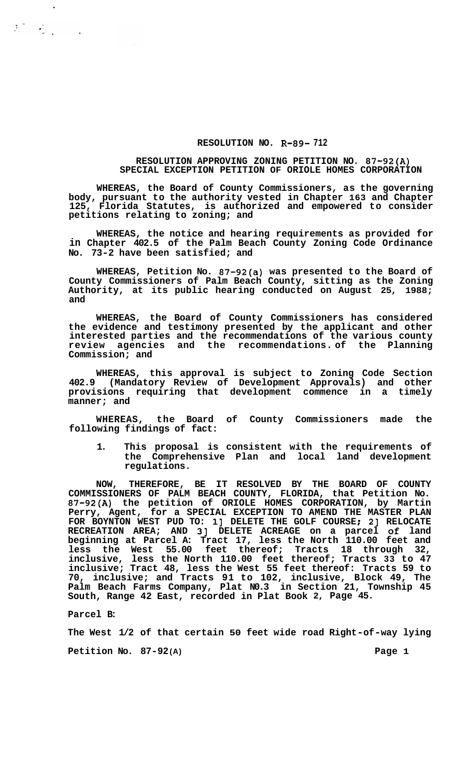## **RESOLUTION NO. R-89- 712**

## **RESOLUTION APPROVING ZONING PETITION NO. 87-92(A) SPECIAL EXCEPTION PETITION OF ORIOLE HOMES CORPORATION**

**WHEREAS, the Board of County Commissioners, as the governing body, pursuant to the authority vested in Chapter 163 and Chapter 125, Florida Statutes, is authorized and empowered to consider petitions relating to zoning; and** 

**WHEREAS, the notice and hearing requirements as provided for in Chapter 402.5 of the Palm Beach County Zoning Code Ordinance No. 73-2 have been satisfied; and** 

**WHEREAS, Petition No. 87-92(a) was presented to the Board of County Commissioners of Palm Beach County, sitting as the Zoning Authority, at its public hearing conducted on August 25, 1988; and** 

**WHEREAS, the Board of County Commissioners has considered the evidence and testimony presented by the applicant and other interested parties and the recommendations of the various county review agencies and the recommendations. of the Planning Commission; and** 

**WHEREAS, this approval is subject to Zoning Code Section 402.9 (Mandatory Review of Development Approvals) and other provisions requiring that development commence in a timely manner; and** 

**WHEREAS, the Board of County Commissioners made the following findings of fact:** 

**1. This proposal is consistent with the requirements of the Comprehensive Plan and local land development regulations.** 

**NOW, THEREFORE, BE IT RESOLVED BY THE BOARD OF COUNTY COMMISSIONERS OF PALM BEACH COUNTY, FLORIDA, that Petition No. 87-92(A) the petition of ORIOLE HOMES CORPORATION, by Martin Perry, Agent, for a SPECIAL EXCEPTION TO AMEND THE MASTER PLAN FOR BOYNTON WEST PUD TO: 11 DELETE THE GOLF COURSE** ; **21 RELOCATE RECREATION AREA; AND 31 DELETE ACREAGE on a parcel of land beginning at Parcel A: Tract 17, less the North 110.00 feet and less the West 55.00 feet thereof; Tracts 18 through 32, inclusive, less the North 110.00 feet thereof; Tracts 33 to 47 inclusive; Tract 48, less the West 55 feet thereof: Tracts 59 to 70, inclusive; and Tracts 91 to 102, inclusive, Block 49, The Palm Beach Farms Company, Plat N0.3 in Section 21, Township 45 South, Range 42 East, recorded in Plat Book 2, Page 45.** 

**Parcel B:** 

 $\ddot{\phantom{a}}$ 

 $\sum_{i=1}^N \frac{1}{\|x_i\|^2} \sum_{i=1}^N \frac{1}{\|x_i\|^2} \leq \frac{1}{\|x_i\|^2} \sum_{i=1}^N \frac{1}{\|x_i\|^2} \leq \frac{1}{\|x_i\|^2}$ 

**The West 1/2 of that certain 50 feet wide road Right-of-way lying** 

**Petition No. 87-92(A) Page 1**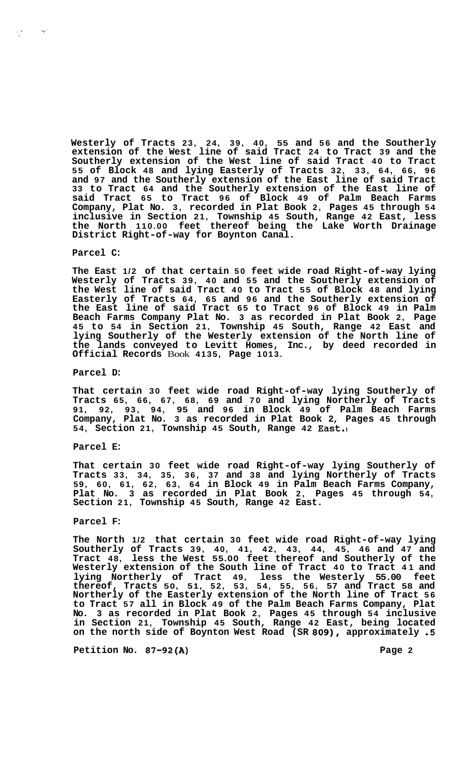**Westerly of Tracts 23, 24, 39, 40, 55 and 56 and the Southerly extension of the West line of said Tract 24 to Tract 39 and the Southerly extension of the West line of said Tract 40 to Tract 55 of Block 48 and lying Easterly of Tracts 32, 33, 64, 66, 96 and 97 and the Southerly extension of the East line of said Tract 33 to Tract 64 and the Southerly extension of the East line of said Tract 65 to Tract 96 of Block 49 of Palm Beach Farms Company, Plat No. 3, recorded in Plat Book 2, Pages 45 through 54 inclusive in Section 21, Township 45 South, Range 42 East, less the North 110.00 feet thereof being the Lake Worth Drainage District Right-of-way for Boynton Canal.** 

#### **Parcel C:**

 $\mathcal{L}^{\text{max}}_{\text{max}}$ 

 $\mathcal{L} \rightarrow \mathcal{L}$ 

**The East 1/2 of that certain 50 feet wide road Right-of-way lying Westerly of Tracts 39, 40 and 55 and the Southerly extension of the West line of said Tract 40 to Tract 55 of Block 48 and lying Easterly of Tracts 64, 65 and 96 and the Southerly extension of the East line of said Tract 65 to Tract 96 of Block 49 in Palm Beach Farms Company Plat No. 3 as recorded in Plat Book 2, Page 45 to 54 in Section 21, Township 45 South, Range 42 East and lying Southerly of the Westerly extension of the North line of the lands conveyed to Levitt Homes, Inc., by deed recorded in Official Records** Book **4135, Page 1013.** 

#### **Parcel D:**

**That certain 30 feet wide road Right-of-way lying Southerly of Tracts 65, 66, 67, 68, 69 and 70 and lying Northerly of Tracts 91, 92, 93, 94, 95 and 96 in Block 49 of Palm Beach Farms Company, Plat No. 3 as recorded in Plat Book 2, Pages 45 through 54, Section 21, Township 45 South, Range 42 East.\** 

#### **Parcel E:**

**That certain 30 feet wide road Right-of-way lying Southerly of Tracts 33, 34, 35, 36, 37 and 38 and lying Northerly of Tracts 59, 60, 61, 62, 63, 64 in Block 49 in Palm Beach Farms Company, Plat No. 3 as recorded in Plat Book 2, Pages 45 through 54, Section 21, Township 45 South, Range 42 East.** 

## **Parcel F:**

**The North 1/2 that certain 30 feet wide road Right-of-way lying Southerly of Tracts 39, 40, 41, 42, 43, 44, 45, 46 and 47 and Tract 48, less the West 55.00 feet thereof and Southerly of the Westerly extension of the South line of Tract 40 to Tract 41 and lying Northerly of Tract 49, less the Westerly 55.00 feet thereof, Tracts 50, 51, 52, 53, 54, 55, 56, 57 and Tract 58 and Northerly of the Easterly extension of the North line of Tract 56 to Tract 57 all in Block 49 of the Palm Beach Farms Company, Plat No. 3 as recorded in Plat Book 2, Pages 45 through 54 inclusive in Section 21, Township 45 South, Range 42 East, being located on the north side of Boynton West Road (SR 809), approximately** *.5* 

**Petition No. 87-92(A) Page 2**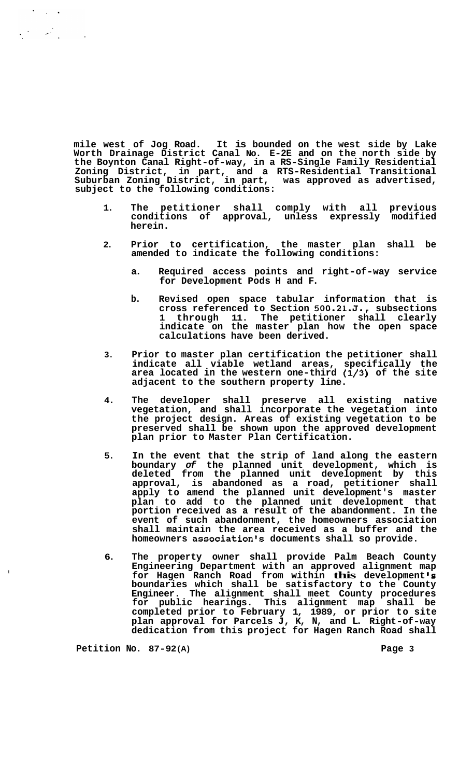**mile west of Jog Road. It is bounded on the west side by Lake Worth Drainage District Canal No. E-2E and on the north side by the Boynton Canal Right-of-way, in a RS-Single Family Residential Zoning District, in part, and a RTS-Residential Transitional Suburban Zoning District, in part, was approved as advertised, subject to the following conditions:** 

- **1. The petitioner shall comply with all previous conditions of approval, unless expressly modified herein.**
- **2. Prior to certification, the master plan shall be amended to indicate the following conditions:** 
	- **a. Required access points and right-of-way service for Development Pods H and F.**
	- **b. Revised open space tabular information that is cross referenced to Section 500.21.J., subsections 1 through 11. The petitioner shall clearly indicate on the master plan how the open space calculations have been derived.**
- **3. Prior to master plan certification the petitioner shall indicate all viable wetland areas, specifically the area located in the western one-third (1/3) of the site adjacent to the southern property line.**
- **4. The developer shall preserve all existing native vegetation, and shall incorporate the vegetation into the project design. Areas of existing vegetation to be preserved shall be shown upon the approved development plan prior to Master Plan Certification.**
- **5. In the event that the strip of land along the eastern boundary** *of* **the planned unit development, which is deleted from the planned unit development by this approval, is abandoned as a road, petitioner shall apply to amend the planned unit development's master plan to add to the planned unit development that portion received as a result of the abandonment. In the event of such abandonment, the homeowners association shall maintain the area received as a buffer and the homeowners association's documents shall so provide.**
- **6. The property owner shall provide Palm Beach County Engineering Department with an approved alignment map for Hagen Ranch Road from within this development** *'8*  **boundaries which shall be satisfactory to the County Engineer. The alignment shall meet County procedures for public hearings. This alignment map shall be completed prior to February 1, 1989, or prior to site plan approval for Parcels J, K, N, and L. Right-of-way dedication from this project for Hagen Ranch Road shall**

**Petition No. 87-92(A) Page 3** 

 $\cdot$ 

 $\label{eq:2.1} \frac{1}{2}\sum_{i=1}^n\frac{1}{2}\sum_{i=1}^n\frac{1}{2}\sum_{i=1}^n\frac{1}{2}\sum_{i=1}^n\frac{1}{2}\sum_{i=1}^n\frac{1}{2}\sum_{i=1}^n\frac{1}{2}\sum_{i=1}^n\frac{1}{2}\sum_{i=1}^n\frac{1}{2}\sum_{i=1}^n\frac{1}{2}\sum_{i=1}^n\frac{1}{2}\sum_{i=1}^n\frac{1}{2}\sum_{i=1}^n\frac{1}{2}\sum_{i=1}^n\frac{1}{2}\sum_{i=1}^n\$